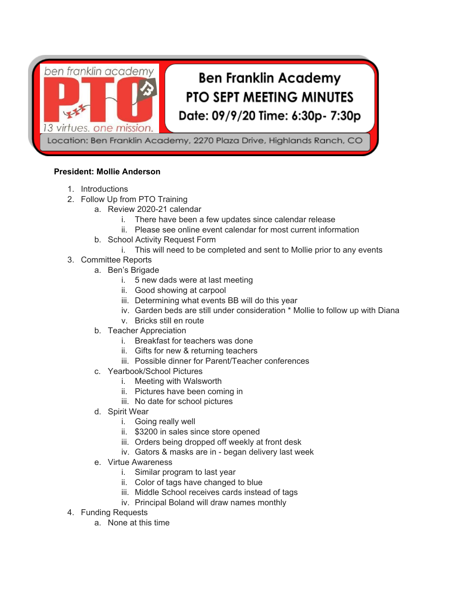

Location: Ben Franklin Academy, 2270 Plaza Drive, Highlands Ranch, CO

#### **President: Mollie Anderson**

- 1. Introductions
- 2. Follow Up from PTO Training
	- a. Review 2020-21 calendar
		- i. There have been a few updates since calendar release
		- ii. Please see online event calendar for most current information
		- b. School Activity Request Form
			- i. This will need to be completed and sent to Mollie prior to any events
- 3. Committee Reports
	- a. Ben's Brigade
		- i. 5 new dads were at last meeting
		- ii. Good showing at carpool
		- iii. Determining what events BB will do this year
		- iv. Garden beds are still under consideration \* Mollie to follow up with Diana
		- v. Bricks still en route
		- b. Teacher Appreciation
			- i. Breakfast for teachers was done
			- ii. Gifts for new & returning teachers
			- iii. Possible dinner for Parent/Teacher conferences
		- c. Yearbook/School Pictures
			- i. Meeting with Walsworth
			- ii. Pictures have been coming in
			- iii. No date for school pictures
		- d. Spirit Wear
			- i. Going really well
			- ii. \$3200 in sales since store opened
			- iii. Orders being dropped off weekly at front desk
			- iv. Gators & masks are in began delivery last week
		- e. Virtue Awareness
			- i. Similar program to last year
			- ii. Color of tags have changed to blue
			- iii. Middle School receives cards instead of tags
			- iv. Principal Boland will draw names monthly
- 4. Funding Requests
	- a. None at this time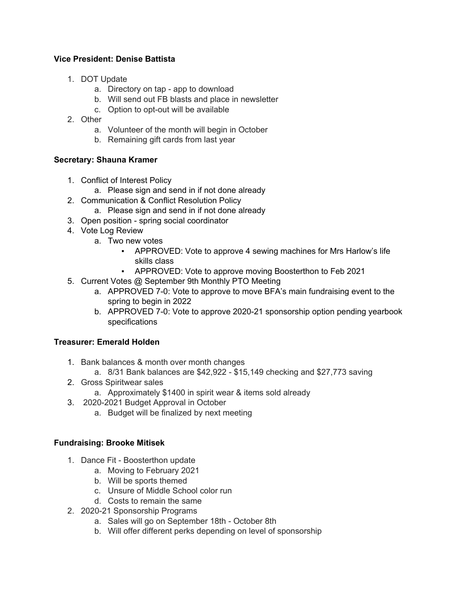### **Vice President: Denise Battista**

- 1. DOT Update
	- a. Directory on tap app to download
	- b. Will send out FB blasts and place in newsletter
	- c. Option to opt-out will be available
- 2. Other
	- a. Volunteer of the month will begin in October
	- b. Remaining gift cards from last year

## **Secretary: Shauna Kramer**

- 1. Conflict of Interest Policy
	- a. Please sign and send in if not done already
- 2. Communication & Conflict Resolution Policy
	- a. Please sign and send in if not done already
- 3. Open position spring social coordinator
- 4. Vote Log Review
	- a. Two new votes
		- APPROVED: Vote to approve 4 sewing machines for Mrs Harlow's life skills class
		- APPROVED: Vote to approve moving Boosterthon to Feb 2021
- 5. Current Votes @ September 9th Monthly PTO Meeting
	- a. APPROVED 7-0: Vote to approve to move BFA's main fundraising event to the spring to begin in 2022
	- b. APPROVED 7-0: Vote to approve 2020-21 sponsorship option pending yearbook specifications

# **Treasurer: Emerald Holden**

- 1. Bank balances & month over month changes
	- a. 8/31 Bank balances are \$42,922 \$15,149 checking and \$27,773 saving
- 2. Gross Spiritwear sales
	- a. Approximately \$1400 in spirit wear & items sold already
- 3. 2020-2021 Budget Approval in October
	- a. Budget will be finalized by next meeting

## **Fundraising: Brooke Mitisek**

- 1. Dance Fit Boosterthon update
	- a. Moving to February 2021
	- b. Will be sports themed
	- c. Unsure of Middle School color run
	- d. Costs to remain the same
- 2. 2020-21 Sponsorship Programs
	- a. Sales will go on September 18th October 8th
	- b. Will offer different perks depending on level of sponsorship